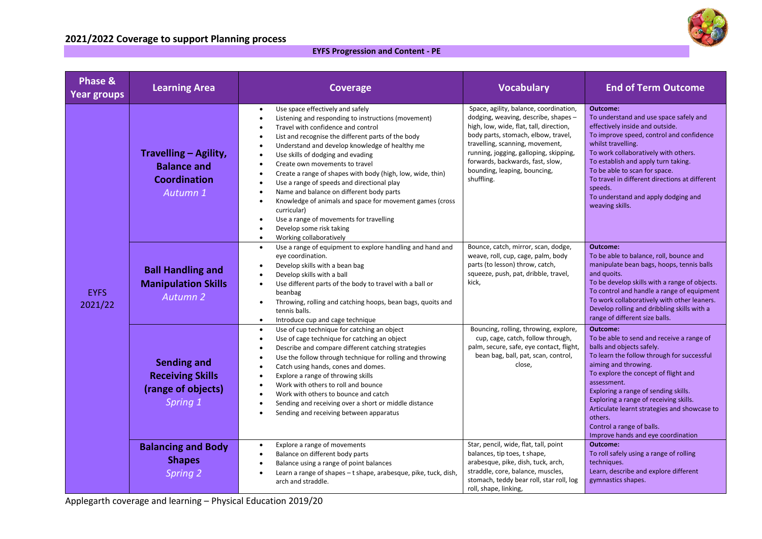## **2021/2022 Coverage to support Planning process**



| <b>Phase &amp;</b><br><b>Year groups</b> | <b>Learning Area</b>                                                            | <b>Coverage</b>                                                                                                                                                                                                                                                                                                                                                                                                                                                                                                                                                                                                                                                                                                    | <b>Vocabulary</b>                                                                                                                                                                                                                                                                                                              | <b>End of Term Outcome</b>                                                                                                                                                                                                                                                                                                                                                                                                      |
|------------------------------------------|---------------------------------------------------------------------------------|--------------------------------------------------------------------------------------------------------------------------------------------------------------------------------------------------------------------------------------------------------------------------------------------------------------------------------------------------------------------------------------------------------------------------------------------------------------------------------------------------------------------------------------------------------------------------------------------------------------------------------------------------------------------------------------------------------------------|--------------------------------------------------------------------------------------------------------------------------------------------------------------------------------------------------------------------------------------------------------------------------------------------------------------------------------|---------------------------------------------------------------------------------------------------------------------------------------------------------------------------------------------------------------------------------------------------------------------------------------------------------------------------------------------------------------------------------------------------------------------------------|
| <b>EYFS</b><br>2021/22                   | Travelling - Agility,<br><b>Balance and</b><br><b>Coordination</b><br>Autumn 1  | Use space effectively and safely<br>$\bullet$<br>Listening and responding to instructions (movement)<br>Travel with confidence and control<br>List and recognise the different parts of the body<br>Understand and develop knowledge of healthy me<br>Use skills of dodging and evading<br>Create own movements to travel<br>Create a range of shapes with body (high, low, wide, thin)<br>$\bullet$<br>Use a range of speeds and directional play<br>Name and balance on different body parts<br>Knowledge of animals and space for movement games (cross<br>$\bullet$<br>curricular)<br>Use a range of movements for travelling<br>Develop some risk taking<br>$\bullet$<br>Working collaboratively<br>$\bullet$ | Space, agility, balance, coordination,<br>dodging, weaving, describe, shapes-<br>high, low, wide, flat, tall, direction,<br>body parts, stomach, elbow, travel,<br>travelling, scanning, movement,<br>running, jogging, galloping, skipping,<br>forwards, backwards, fast, slow,<br>bounding, leaping, bouncing,<br>shuffling. | Outcome:<br>To understand and use space safely and<br>effectively inside and outside.<br>To improve speed, control and confidence<br>whilst travelling.<br>To work collaboratively with others.<br>To establish and apply turn taking.<br>To be able to scan for space.<br>To travel in different directions at different<br>speeds.<br>To understand and apply dodging and<br>weaving skills.                                  |
|                                          | <b>Ball Handling and</b><br><b>Manipulation Skills</b><br>Autumn 2              | Use a range of equipment to explore handling and hand and<br>$\bullet$<br>eye coordination.<br>Develop skills with a bean bag<br>Develop skills with a ball<br>Use different parts of the body to travel with a ball or<br>$\bullet$<br>beanbag<br>Throwing, rolling and catching hoops, bean bags, quoits and<br>$\bullet$<br>tennis balls.<br>Introduce cup and cage technique<br>$\bullet$                                                                                                                                                                                                                                                                                                                      | Bounce, catch, mirror, scan, dodge,<br>weave, roll, cup, cage, palm, body<br>parts (to lesson) throw, catch,<br>squeeze, push, pat, dribble, travel,<br>kick,                                                                                                                                                                  | Outcome:<br>To be able to balance, roll, bounce and<br>manipulate bean bags, hoops, tennis balls<br>and quoits.<br>To be develop skills with a range of objects.<br>To control and handle a range of equipment<br>To work collaboratively with other leaners.<br>Develop rolling and dribbling skills with a<br>range of different size balls.                                                                                  |
|                                          | <b>Sending and</b><br><b>Receiving Skills</b><br>(range of objects)<br>Spring 1 | Use of cup technique for catching an object<br>$\bullet$<br>Use of cage technique for catching an object<br>Describe and compare different catching strategies<br>Use the follow through technique for rolling and throwing<br>Catch using hands, cones and domes.<br>Explore a range of throwing skills<br>Work with others to roll and bounce<br>$\bullet$<br>Work with others to bounce and catch<br>$\bullet$<br>Sending and receiving over a short or middle distance<br>$\bullet$<br>Sending and receiving between apparatus                                                                                                                                                                                 | Bouncing, rolling, throwing, explore,<br>cup, cage, catch, follow through,<br>palm, secure, safe, eye contact, flight,<br>bean bag, ball, pat, scan, control,<br>close,                                                                                                                                                        | Outcome:<br>To be able to send and receive a range of<br>balls and objects safely.<br>To learn the follow through for successful<br>aiming and throwing.<br>To explore the concept of flight and<br>assessment.<br>Exploring a range of sending skills.<br>Exploring a range of receiving skills.<br>Articulate learnt strategies and showcase to<br>others.<br>Control a range of balls.<br>Improve hands and eye coordination |
|                                          | <b>Balancing and Body</b><br><b>Shapes</b><br>Spring 2                          | Explore a range of movements<br>$\bullet$<br>Balance on different body parts<br>$\bullet$<br>Balance using a range of point balances<br>$\bullet$<br>Learn a range of shapes - t shape, arabesque, pike, tuck, dish,<br>arch and straddle.                                                                                                                                                                                                                                                                                                                                                                                                                                                                         | Star, pencil, wide, flat, tall, point<br>balances, tip toes, t shape,<br>arabesque, pike, dish, tuck, arch,<br>straddle, core, balance, muscles,<br>stomach, teddy bear roll, star roll, log<br>roll, shape, linking,                                                                                                          | Outcome:<br>To roll safely using a range of rolling<br>techniques.<br>Learn, describe and explore different<br>gymnastics shapes.                                                                                                                                                                                                                                                                                               |

Applegarth coverage and learning – Physical Education 2019/20